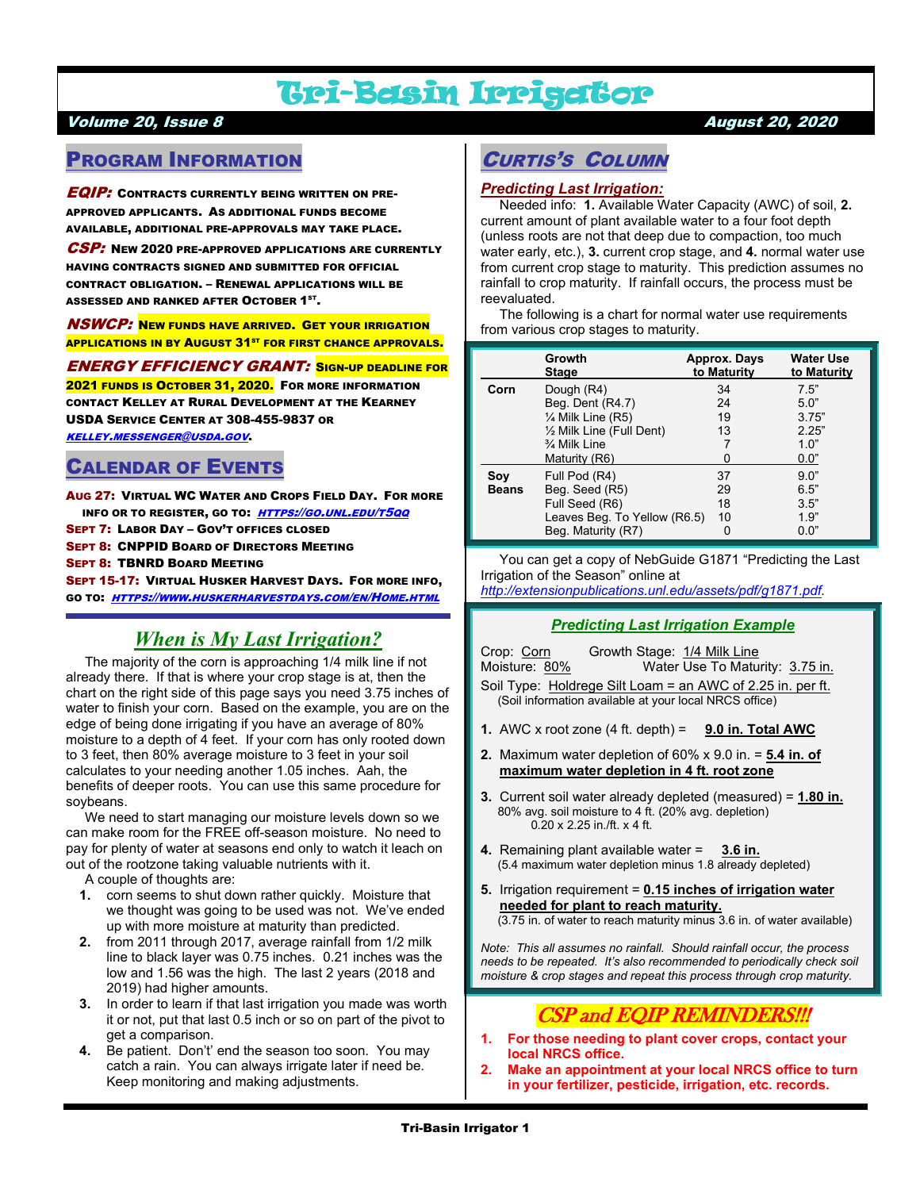# Tri-Basin Irrigator

### Volume 20, Issue 8 August 20, 2020

# PROGRAM INFORMATION

**EQIP:** CONTRACTS CURRENTLY BEING WRITTEN ON PRE-APPROVED APPLICANTS. AS ADDITIONAL FUNDS BECOME AVAILABLE, ADDITIONAL PRE-APPROVALS MAY TAKE PLACE.

CSP: NEW 2020 PRE-APPROVED APPLICATIONS ARE CURRENTLY HAVING CONTRACTS SIGNED AND SUBMITTED FOR OFFICIAL CONTRACT OBLIGATION. – RENEWAL APPLICATIONS WILL BE ASSESSED AND RANKED AFTER  $\mathsf{O}\mathsf{CTO}\mathsf{BER}$   $\mathsf{1}^{\mathsf{ST}}$ .

NSWCP: NEW FUNDS HAVE ARRIVED. GET YOUR IRRIGATION **APPLICATIONS IN BY AUGUST 31<sup>ST</sup> FOR FIRST CHANCE APPROVALS.** 

ENERGY EFFICIENCY GRANT: SIGN-UP DEADLINE FOR 2021 FUNDS IS OCTOBER 31, 2020. FOR MORE INFORMATION CONTACT KELLEY AT RURAL DEVELOPMENT AT THE KEARNEY USDA SERVICE CENTER AT 308-455-9837 OR [KELLEY.MESSENGER@USDA.GOV](mailto:kelley.messenger@usda.gov).

## CALENDAR OF EVENTS

AUG 27: VIRTUAL WC WATER AND CROPS FIELD DAY. FOR MORE INFO OR TO REGISTER, GO TO: [HTTPS://GO.UNL.EDU/T5QQ](https://go.unl.edu/t5qq) SEPT 7: LABOR DAY – GOV'T OFFICES CLOSED

SEPT 8: CNPPID BOARD OF DIRECTORS MEETING

SEPT 8: TBNRD BOARD MEETING

SEPT 15-17: VIRTUAL HUSKER HARVEST DAYS. FOR MORE INFO, GO TO: [HTTPS://WWW.HUSKERHARVESTDAYS.COM/EN/HOME.HTML](https://www.huskerharvestdays.com/en/Home.html)

# *When is My Last Irrigation?*

 The majority of the corn is approaching 1/4 milk line if not already there. If that is where your crop stage is at, then the chart on the right side of this page says you need 3.75 inches of water to finish your corn. Based on the example, you are on the edge of being done irrigating if you have an average of 80% moisture to a depth of 4 feet. If your corn has only rooted down to 3 feet, then 80% average moisture to 3 feet in your soil calculates to your needing another 1.05 inches. Aah, the benefits of deeper roots. You can use this same procedure for soybeans.

 We need to start managing our moisture levels down so we can make room for the FREE off-season moisture. No need to pay for plenty of water at seasons end only to watch it leach on out of the rootzone taking valuable nutrients with it.

A couple of thoughts are:<br>1 corn seems to shut do

- **1.** corn seems to shut down rather quickly. Moisture that we thought was going to be used was not. We've ended up with more moisture at maturity than predicted.
- **2.** from 2011 through 2017, average rainfall from 1/2 milk line to black layer was 0.75 inches. 0.21 inches was the low and 1.56 was the high. The last 2 years (2018 and 2019) had higher amounts.
- **3.** In order to learn if that last irrigation you made was worth it or not, put that last 0.5 inch or so on part of the pivot to get a comparison.
- **4.** Be patient. Don't' end the season too soon. You may catch a rain. You can always irrigate later if need be. Keep monitoring and making adjustments.

# CURTIS'S COLUMN

### *Predicting Last Irrigation:*

 Needed info: **1.** Available Water Capacity (AWC) of soil, **2.** current amount of plant available water to a four foot depth (unless roots are not that deep due to compaction, too much water early, etc.), **3.** current crop stage, and **4.** normal water use from current crop stage to maturity. This prediction assumes no rainfall to crop maturity. If rainfall occurs, the process must be reevaluated.

 The following is a chart for normal water use requirements from various crop stages to maturity.

|              | Growth<br><b>Stage</b>       | Approx. Days<br>to Maturity | <b>Water Use</b><br>to Maturity |
|--------------|------------------------------|-----------------------------|---------------------------------|
| Corn         | Dough (R4)                   | 34                          | 7.5"                            |
|              | Beg. Dent (R4.7)             | 24                          | 5.0"                            |
|              | $\frac{1}{4}$ Milk Line (R5) | 19                          | 3.75"                           |
|              | 1/2 Milk Line (Full Dent)    | 13                          | 2.25"                           |
|              | 3⁄4 Milk Line                |                             | 1.0"                            |
|              | Maturity (R6)                |                             | 0.0"                            |
| Sov          | Full Pod (R4)                | 37                          | 9.0"                            |
| <b>Beans</b> | Beg. Seed (R5)               | 29                          | 6.5"                            |
|              | Full Seed (R6)               | 18                          | 3.5"                            |
|              | Leaves Beg. To Yellow (R6.5) | 10                          | 1.9"                            |
|              | Beg. Maturity (R7)           |                             | 0.0"                            |

 You can get a copy of NebGuide G1871 "Predicting the Last Irrigation of the Season" online at

*[http://extensionpublications.unl.edu/assets/pdf/g1871.pdf.](http://extensionpublications.unl.edu/assets/pdf/g1871.pdf)*

### *Predicting Last Irrigation Example*

Crop: Corn Growth Stage: 1/4 Milk Line<br>Moisture: 80% Water Use To Matu Water Use To Maturity: 3.75 in. Soil Type: Holdrege Silt Loam = an AWC of 2.25 in. per ft. (Soil information available at your local NRCS office)

- **1.** AWC x root zone (4 ft. depth) = **9.0 in. Total AWC**
- **2.** Maximum water depletion of 60% x 9.0 in. = **5.4 in. of maximum water depletion in 4 ft. root zone**
- **3.** Current soil water already depleted (measured) = **1.80 in.** 80% avg. soil moisture to 4 ft. (20% avg. depletion) 0.20 x 2.25 in./ft. x 4 ft.
- **4.** Remaining plant available water = **3.6 in.** (5.4 maximum water depletion minus 1.8 already depleted)
- **5.** Irrigation requirement = **0.15 inches of irrigation water needed for plant to reach maturity.** (3.75 in. of water to reach maturity minus 3.6 in. of water available)

*Note: This all assumes no rainfall. Should rainfall occur, the process needs to be repeated. It's also recommended to periodically check soil moisture & crop stages and repeat this process through crop maturity.*

# CSP and EQIP REMINDERS!!!

- **1. For those needing to plant cover crops, contact your local NRCS office.**
- **2. Make an appointment at your local NRCS office to turn in your fertilizer, pesticide, irrigation, etc. records.**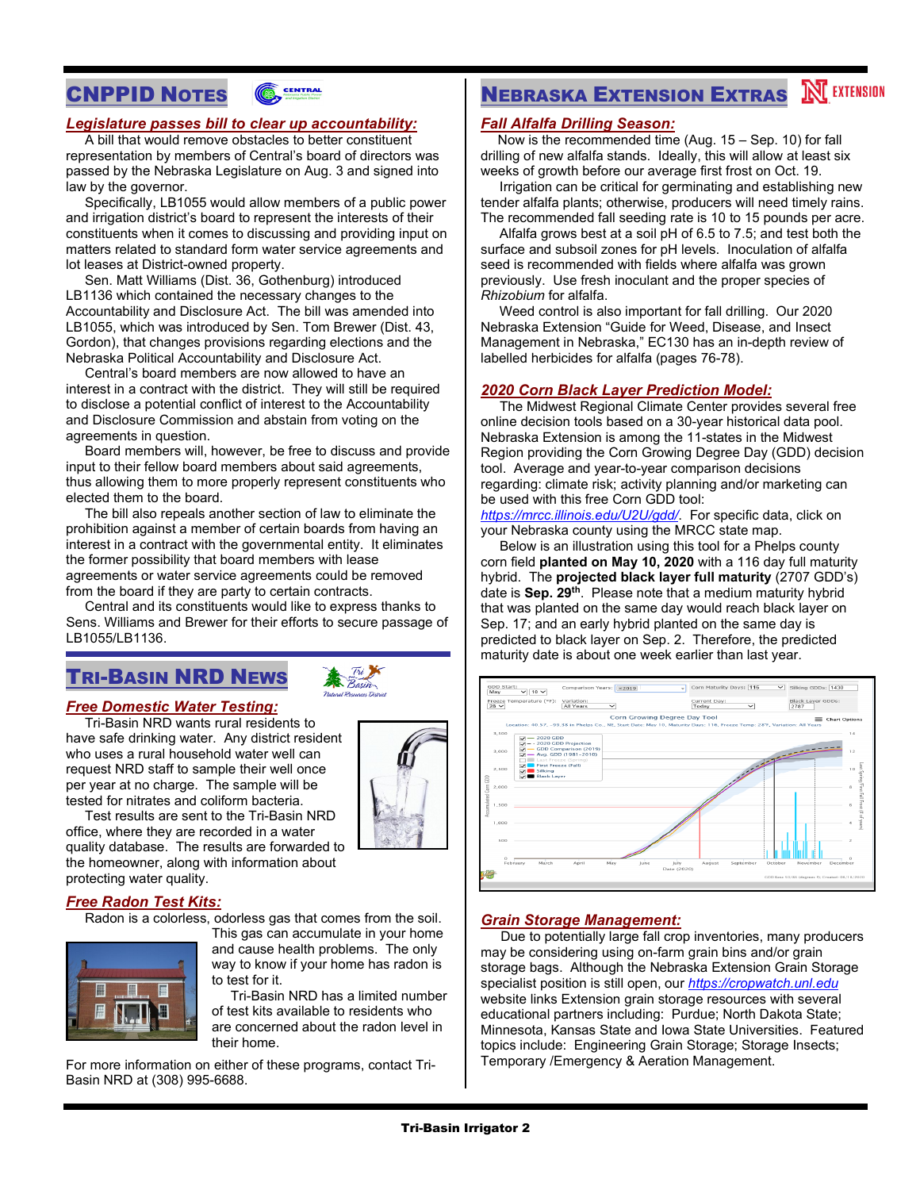# CNPPID NOTES



### *Legislature passes bill to clear up accountability:*

 A bill that would remove obstacles to better constituent representation by members of Central's board of directors was passed by the Nebraska Legislature on Aug. 3 and signed into law by the governor.

 Specifically, LB1055 would allow members of a public power and irrigation district's board to represent the interests of their constituents when it comes to discussing and providing input on matters related to standard form water service agreements and lot leases at District-owned property.

 Sen. Matt Williams (Dist. 36, Gothenburg) introduced LB1136 which contained the necessary changes to the Accountability and Disclosure Act. The bill was amended into LB1055, which was introduced by Sen. Tom Brewer (Dist. 43, Gordon), that changes provisions regarding elections and the Nebraska Political Accountability and Disclosure Act.

 Central's board members are now allowed to have an interest in a contract with the district. They will still be required to disclose a potential conflict of interest to the Accountability and Disclosure Commission and abstain from voting on the agreements in question.

 Board members will, however, be free to discuss and provide input to their fellow board members about said agreements, thus allowing them to more properly represent constituents who elected them to the board.

 The bill also repeals another section of law to eliminate the prohibition against a member of certain boards from having an interest in a contract with the governmental entity. It eliminates the former possibility that board members with lease agreements or water service agreements could be removed from the board if they are party to certain contracts.

 Central and its constituents would like to express thanks to Sens. Williams and Brewer for their efforts to secure passage of LB1055/LB1136.

# TRI-BASIN NRD NEWS

### *Free Domestic Water Testing:*

 Tri-Basin NRD wants rural residents to have safe drinking water. Any district resident who uses a rural household water well can request NRD staff to sample their well once per year at no charge. The sample will be tested for nitrates and coliform bacteria.



 Test results are sent to the Tri-Basin NRD office, where they are recorded in a water quality database. The results are forwarded to the homeowner, along with information about protecting water quality.

### *Free Radon Test Kits:*

Radon is a colorless, odorless gas that comes from the soil.



This gas can accumulate in your home and cause health problems. The only way to know if your home has radon is to test for it.

 Tri-Basin NRD has a limited number of test kits available to residents who are concerned about the radon level in their home.

For more information on either of these programs, contact Tri-Basin NRD at (308) 995-6688.

# **NEBRASKA EXTENSION EXTRAS NEXTENSION**

### *Fall Alfalfa Drilling Season:*

 Now is the recommended time (Aug. 15 – Sep. 10) for fall drilling of new alfalfa stands. Ideally, this will allow at least six weeks of growth before our average first frost on Oct. 19.

 Irrigation can be critical for germinating and establishing new tender alfalfa plants; otherwise, producers will need timely rains. The recommended fall seeding rate is 10 to 15 pounds per acre.

 Alfalfa grows best at a soil pH of 6.5 to 7.5; and test both the surface and subsoil zones for pH levels. Inoculation of alfalfa seed is recommended with fields where alfalfa was grown previously. Use fresh inoculant and the proper species of *Rhizobium* for alfalfa.

 Weed control is also important for fall drilling. Our 2020 Nebraska Extension "Guide for Weed, Disease, and Insect Management in Nebraska," EC130 has an in-depth review of labelled herbicides for alfalfa (pages 76-78).

### *2020 Corn Black Layer Prediction Model:*

 The Midwest Regional Climate Center provides several free online decision tools based on a 30-year historical data pool. Nebraska Extension is among the 11-states in the Midwest Region providing the Corn Growing Degree Day (GDD) decision tool. Average and year-to-year comparison decisions regarding: climate risk; activity planning and/or marketing can be used with this free Corn GDD tool:

*<https://mrcc.illinois.edu/U2U/gdd/>*. For specific data, click on your Nebraska county using the MRCC state map.

 Below is an illustration using this tool for a Phelps county corn field **planted on May 10, 2020** with a 116 day full maturity hybrid. The **projected black layer full maturity** (2707 GDD's) date is **Sep. 29th**. Please note that a medium maturity hybrid that was planted on the same day would reach black layer on Sep. 17; and an early hybrid planted on the same day is predicted to black layer on Sep. 2. Therefore, the predicted maturity date is about one week earlier than last year.



### *Grain Storage Management:*

 Due to potentially large fall crop inventories, many producers may be considering using on-farm grain bins and/or grain storage bags. Although the Nebraska Extension Grain Storage specialist position is still open, our *[https://cropwatch.unl.edu](https://cropwatch.unl.edu/)* website links Extension grain storage resources with several educational partners including: Purdue; North Dakota State; Minnesota, Kansas State and Iowa State Universities. Featured topics include: Engineering Grain Storage; Storage Insects; Temporary /Emergency & Aeration Management.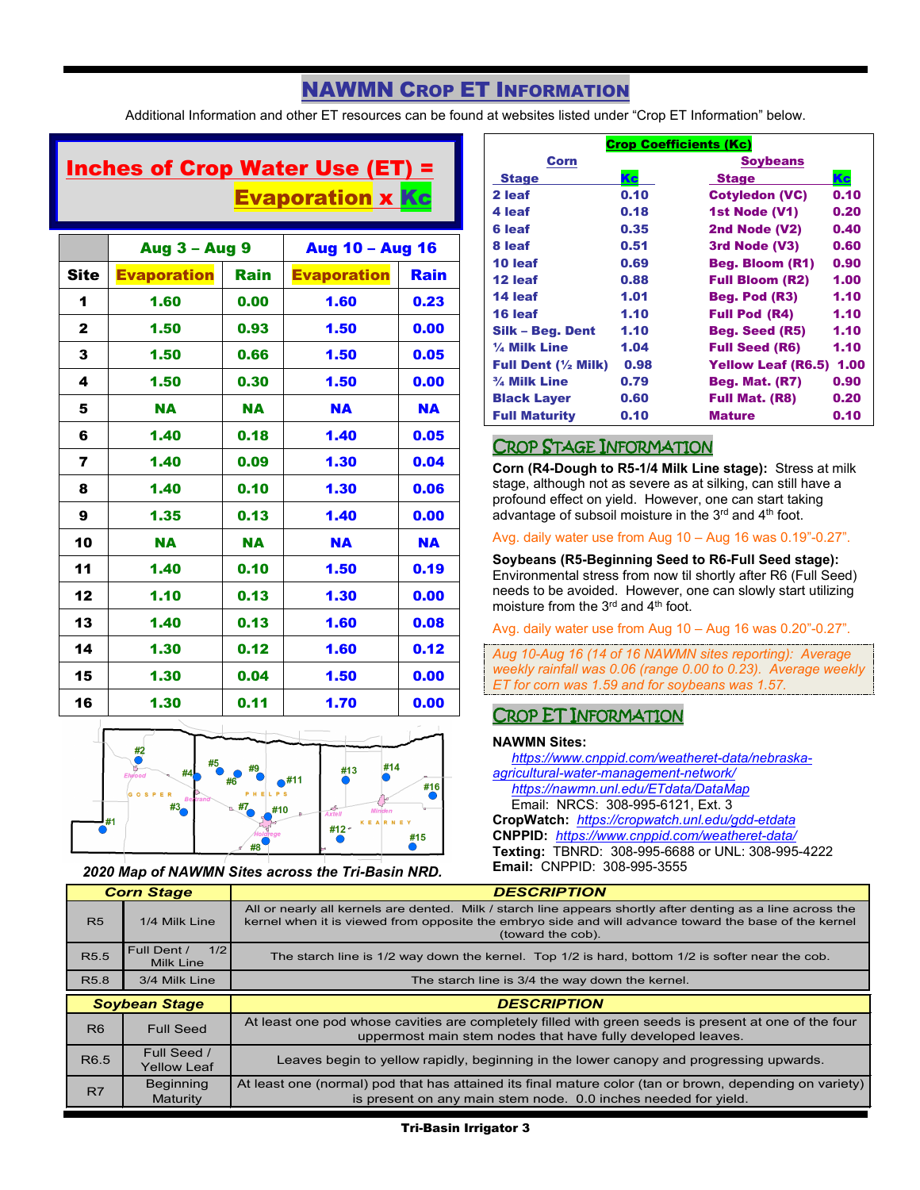# NAWMN CROP ET INFORMATION

Additional Information and other ET resources can be found at websites listed under "Crop ET Information" below.

# Inches of Crop Water Use (ET) = Evaporation x Kc

|              | <b>Aug 3 - Aug 9</b> |             | <b>Aug 10 - Aug 16</b> |           |
|--------------|----------------------|-------------|------------------------|-----------|
| <b>Site</b>  | <b>Evaporation</b>   | <b>Rain</b> | <b>Evaporation</b>     | Rain      |
| 1            | 1.60                 | 0.00        | 1.60                   | 0.23      |
| $\mathbf{2}$ | 1.50                 | 0.93        | 1.50                   | 0.00      |
| 3            | 1.50                 | 0.66        | 1.50                   | 0.05      |
| 4            | 1.50                 | 0.30        | 1.50                   | 0.00      |
| 5            | <b>NA</b>            | <b>NA</b>   | <b>NA</b>              | <b>NA</b> |
| 6            | 1.40                 | 0.18        | 1.40                   | 0.05      |
| 7            | 1.40                 | 0.09        | 1.30                   | 0.04      |
| 8            | 1.40                 | 0.10        | 1.30                   | 0.06      |
| 9            | 1.35                 | 0.13        | 1.40                   | 0.00      |
| 10           | <b>NA</b>            | <b>NA</b>   | <b>NA</b>              | <b>NA</b> |
| 11           | 1.40                 | 0.10        | 1.50                   | 0.19      |
| 12           | 1.10                 | 0.13        | 1.30                   | 0.00      |
| 13           | 1.40                 | 0.13        | 1.60                   | 0.08      |
| 14           | 1.30                 | 0.12        | 1.60                   | 0.12      |
| 15           | 1.30                 | 0.04        | 1.50                   | 0.00      |
| 16           | 1.30                 | 0.11        | 1.70                   | 0.00      |



*2020 Map of NAWMN Sites across the Tri-Basin NRD.*

| <b>Crop Coefficients (Kc)</b>  |      |                           |      |
|--------------------------------|------|---------------------------|------|
| Corn                           |      | <b>Soybeans</b>           |      |
| <b>Stage</b>                   | Kc   | <b>Stage</b>              | Kc   |
| 2 leaf                         | 0.10 | <b>Cotyledon (VC)</b>     | 0.10 |
| 4 leaf                         | 0.18 | 1st Node (V1)             | 0.20 |
| 6 leaf                         | 0.35 | 2nd Node (V2)             | 0.40 |
| 8 leaf                         | 0.51 | 3rd Node (V3)             | 0.60 |
| 10 leaf                        | 0.69 | <b>Beg. Bloom (R1)</b>    | 0.90 |
| 12 leaf                        | 0.88 | <b>Full Bloom (R2)</b>    | 1.00 |
| 14 leaf                        | 1.01 | Beg. Pod (R3)             | 1.10 |
| 16 leaf                        | 1.10 | <b>Full Pod (R4)</b>      | 1.10 |
| Silk – Beg. Dent               | 1.10 | <b>Beg. Seed (R5)</b>     | 1.10 |
| 1/4 Milk Line                  | 1.04 | <b>Full Seed (R6)</b>     | 1.10 |
| Full Dent $(\frac{1}{2}$ Milk) | 0.98 | <b>Yellow Leaf (R6.5)</b> | 1.00 |
| $\frac{3}{4}$ Milk Line        | 0.79 | <b>Beg. Mat. (R7)</b>     | 0.90 |
| <b>Black Layer</b>             | 0.60 | <b>Full Mat. (R8)</b>     | 0.20 |
| <b>Full Maturity</b>           | 0.10 | <b>Mature</b>             | 0.10 |

### CROP STAGE INFORMATION

**Corn (R4-Dough to R5-1/4 Milk Line stage):** Stress at milk stage, although not as severe as at silking, can still have a profound effect on yield. However, one can start taking advantage of subsoil moisture in the 3<sup>rd</sup> and 4<sup>th</sup> foot.

### Avg. daily water use from Aug 10 – Aug 16 was 0.19"-0.27".

**Soybeans (R5-Beginning Seed to R6-Full Seed stage):** Environmental stress from now til shortly after R6 (Full Seed) needs to be avoided. However, one can slowly start utilizing moisture from the 3<sup>rd</sup> and 4<sup>th</sup> foot.

Avg. daily water use from Aug 10 – Aug 16 was 0.20"-0.27".

*Aug 10-Aug 16 (14 of 16 NAWMN sites reporting): Average weekly rainfall was 0.06 (range 0.00 to 0.23). Average weekly ET for corn was 1.59 and for soybeans was 1.57.*

## CROP ET INFORMATION

### **NAWMN Sites:**

 *[https://www.cnppid.com/weatheret-data/nebraska](https://www.cnppid.com/weatheret-data/nebraska-agricultural-water-management-network/)[agricultural-water-management-network/](https://www.cnppid.com/weatheret-data/nebraska-agricultural-water-management-network/)*

*<https://nawmn.unl.edu/ETdata/DataMap>*

 Email: NRCS: 308-995-6121, Ext. 3 **CropWatch:** *<https://cropwatch.unl.edu/gdd-etdata>* **CNPPID:** *<https://www.cnppid.com/weatheret-data/>*

**Texting:** TBNRD: 308-995-6688 or UNL: 308-995-4222 **Email:** CNPPID: 308-995-3555

| <b>Corn Stage</b> |                                        | <b>DESCRIPTION</b>                                                                                                                                                                                                                        |  |  |
|-------------------|----------------------------------------|-------------------------------------------------------------------------------------------------------------------------------------------------------------------------------------------------------------------------------------------|--|--|
| <b>R5</b>         | 1/4 Milk Line                          | All or nearly all kernels are dented. Milk / starch line appears shortly after denting as a line across the<br>kernel when it is viewed from opposite the embryo side and will advance toward the base of the kernel<br>(toward the cob). |  |  |
| R <sub>5.5</sub>  | 1/2<br>Full Dent /<br><b>Milk Line</b> | The starch line is 1/2 way down the kernel. Top 1/2 is hard, bottom 1/2 is softer near the cob.                                                                                                                                           |  |  |
| R <sub>5.8</sub>  | 3/4 Milk Line                          | The starch line is 3/4 the way down the kernel.                                                                                                                                                                                           |  |  |
|                   |                                        |                                                                                                                                                                                                                                           |  |  |
|                   | <b>Soybean Stage</b>                   | <b>DESCRIPTION</b>                                                                                                                                                                                                                        |  |  |
| R <sub>6</sub>    | <b>Full Seed</b>                       | At least one pod whose cavities are completely filled with green seeds is present at one of the four<br>uppermost main stem nodes that have fully developed leaves.                                                                       |  |  |
| R <sub>6.5</sub>  | Full Seed /<br><b>Yellow Leaf</b>      | Leaves begin to yellow rapidly, beginning in the lower canopy and progressing upwards.                                                                                                                                                    |  |  |